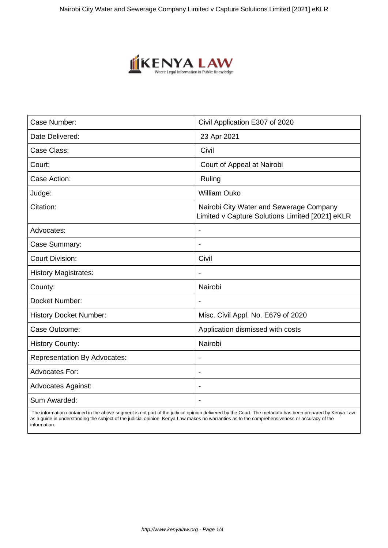

| Case Number:                        | Civil Application E307 of 2020                                                             |
|-------------------------------------|--------------------------------------------------------------------------------------------|
| Date Delivered:                     | 23 Apr 2021                                                                                |
| Case Class:                         | Civil                                                                                      |
| Court:                              | Court of Appeal at Nairobi                                                                 |
| Case Action:                        | Ruling                                                                                     |
| Judge:                              | <b>William Ouko</b>                                                                        |
| Citation:                           | Nairobi City Water and Sewerage Company<br>Limited v Capture Solutions Limited [2021] eKLR |
| Advocates:                          |                                                                                            |
| Case Summary:                       | $\blacksquare$                                                                             |
| <b>Court Division:</b>              | Civil                                                                                      |
| <b>History Magistrates:</b>         | $\blacksquare$                                                                             |
| County:                             | Nairobi                                                                                    |
| Docket Number:                      |                                                                                            |
| <b>History Docket Number:</b>       | Misc. Civil Appl. No. E679 of 2020                                                         |
| Case Outcome:                       | Application dismissed with costs                                                           |
| <b>History County:</b>              | Nairobi                                                                                    |
| <b>Representation By Advocates:</b> | $\overline{\phantom{a}}$                                                                   |
| <b>Advocates For:</b>               | $\blacksquare$                                                                             |
| <b>Advocates Against:</b>           | $\blacksquare$                                                                             |
| Sum Awarded:                        |                                                                                            |

 The information contained in the above segment is not part of the judicial opinion delivered by the Court. The metadata has been prepared by Kenya Law as a guide in understanding the subject of the judicial opinion. Kenya Law makes no warranties as to the comprehensiveness or accuracy of the information.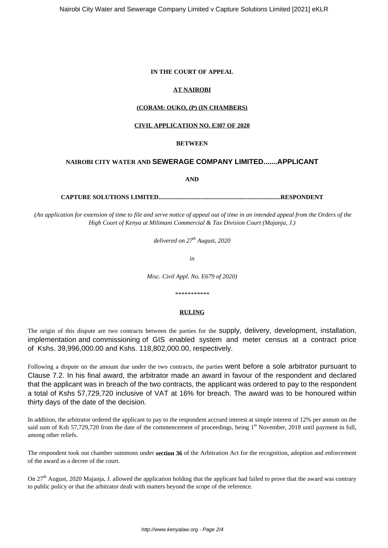#### **IN THE COURT OF APPEAL**

## **AT NAIROBI**

#### **(CORAM: OUKO, (P) (IN CHAMBERS)**

## **CIVIL APPLICATION NO. E307 OF 2020**

### **BETWEEN**

# **NAIROBI CITY WATER AND SEWERAGE COMPANY LIMITED.......APPLICANT**

**AND**

**CAPTURE SOLUTIONS LIMITED..............................................................................RESPONDENT**

*(An application for extension of time to file and serve notice of appeal out of time in an intended appeal from the Orders of the High Court of Kenya at Milimani Commercial & Tax Division Court (Majanja, J.)*

*delivered on 27th August, 2020*

*in*

*Misc. Civil Appl. No. E679 of 2020)*

*\*\*\*\*\*\*\*\*\*\*\**

## **RULING**

The origin of this dispute are two contracts between the parties for the supply, delivery, development, installation, implementation and commissioning of GIS enabled system and meter census at a contract price of Kshs. 39,996,000.00 and Kshs. 118,802,000.00, respectively.

Following a dispute on the amount due under the two contracts, the parties went before a sole arbitrator pursuant to Clause 7.2. In his final award, the arbitrator made an award in favour of the respondent and declared that the applicant was in breach of the two contracts, the applicant was ordered to pay to the respondent a total of Kshs 57,729,720 inclusive of VAT at 16% for breach. The award was to be honoured within thirty days of the date of the decision.

In addition, the arbitrator ordered the applicant to pay to the respondent accrued interest at simple interest of 12% per annum on the said sum of Ksh 57,729,720 from the date of the commencement of proceedings, being  $1<sup>st</sup>$  November, 2018 until payment in full, among other reliefs.

The respondent took out chamber summons under **section 36** of the Arbitration Act for the recognition, adoption and enforcement of the award as a decree of the court.

On  $27<sup>th</sup>$  August, 2020 Majanja, J. allowed the application holding that the applicant had failed to prove that the award was contrary to public policy or that the arbitrator dealt with matters beyond the scope of the reference.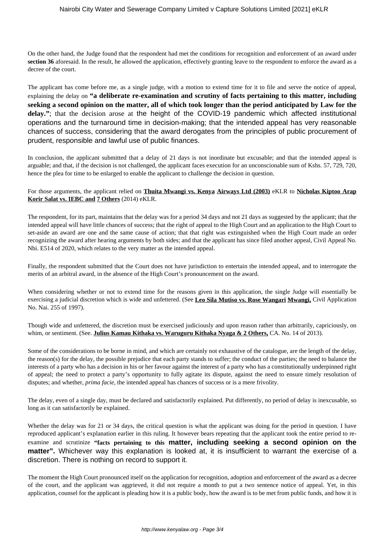On the other hand, the Judge found that the respondent had met the conditions for recognition and enforcement of an award under **section 36** aforesaid. In the result, he allowed the application, effectively granting leave to the respondent to enforce the award as a decree of the court.

The applicant has come before me, as a single judge, with a motion to extend time for it to file and serve the notice of appeal, explaining the delay on **"a deliberate re-examination and scrutiny of facts pertaining to this matter, including seeking a second opinion on the matter, all of which took longer than the period anticipated by Law for the** delay."; that the decision arose at the height of the COVID-19 pandemic which affected institutional operations and the turnaround time in decision-making; that the intended appeal has very reasonable chances of success, considering that the award derogates from the principles of public procurement of prudent, responsible and lawful use of public finances.

In conclusion, the applicant submitted that a delay of 21 days is not inordinate but excusable; and that the intended appeal is arguable; and that, if the decision is not challenged, the applicant faces execution for an unconscionable sum of Kshs. 57, 729, 720, hence the plea for time to be enlarged to enable the applicant to challenge the decision in question.

## For those arguments, the applicant relied on **Thuita Mwangi vs. Kenya Airways Ltd (2003)** eKLR to **Nicholas Kiptoo Arap Korir Salat vs. IEBC and 7 Others** (2014) eKLR.

The respondent, for its part, maintains that the delay was for a period 34 days and not 21 days as suggested by the applicant; that the intended appeal will have little chances of success; that the right of appeal to the High Court and an application to the High Court to set-aside an award are one and the same cause of action; that that right was extinguished when the High Court made an order recognizing the award after hearing arguments by both sides; and that the applicant has since filed another appeal, Civil Appeal No. Nbi. E514 of 2020, which relates to the very matter as the intended appeal.

Finally, the respondent submitted that the Court does not have jurisdiction to entertain the intended appeal, and to interrogate the merits of an arbitral award, in the absence of the High Court's pronouncement on the award.

When considering whether or not to extend time for the reasons given in this application, the single Judge will essentially be exercising a judicial discretion which is wide and unfettered. (See **Leo Sila Mutiso vs. Rose Wangari Mwangi,** Civil Application No. Nai. 255 of 1997).

Though wide and unfettered, the discretion must be exercised judiciously and upon reason rather than arbitrarily, capriciously, on whim, or sentiment. (See. **Julius Kamau Kithaka vs. Waruguru Kithaka Nyaga & 2 Others,** CA. No. 14 of 2013).

Some of the considerations to be borne in mind, and which are certainly not exhaustive of the catalogue, are the length of the delay, the reason(s) for the delay, the possible prejudice that each party stands to suffer; the conduct of the parties; the need to balance the interests of a party who has a decision in his or her favour against the interest of a party who has a constitutionally underpinned right of appeal; the need to protect a party's opportunity to fully agitate its dispute, against the need to ensure timely resolution of disputes; and whether, *prima facie*, the intended appeal has chances of success or is a mere frivolity.

The delay, even of a single day, must be declared and satisfactorily explained. Put differently, no period of delay is inexcusable, so long as it can satisfactorily be explained.

Whether the delay was for 21 or 34 days, the critical question is what the applicant was doing for the period in question. I have reproduced applicant's explanation earlier in this ruling. It however bears repeating that the applicant took the entire period to reexamine and scrutinize **"facts pertaining to this matter, including seeking a second opinion on the matter".** Whichever way this explanation is looked at, it is insufficient to warrant the exercise of a discretion. There is nothing on record to support it.

The moment the High Court pronounced itself on the application for recognition, adoption and enforcement of the award as a decree of the court, and the applicant was aggrieved, it did not require a month to put a two sentence notice of appeal. Yet, in this application, counsel for the applicant is pleading how it is a public body, how the award is to be met from public funds, and how it is